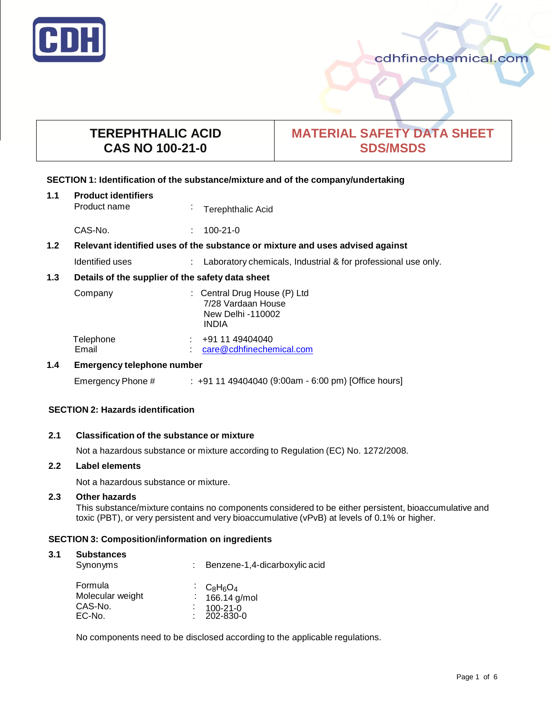

# **TEREPHTHALIC ACID CAS NO 100-21-0**

# **MATERIAL SAFETY DATA SHEET SDS/MSDS**

# **SECTION 1: Identification of the substance/mixture and of the company/undertaking**

| 1.1              | <b>Product identifiers</b><br>Product name                                    | $\blacksquare$ | <b>Terephthalic Acid</b>                                                                |
|------------------|-------------------------------------------------------------------------------|----------------|-----------------------------------------------------------------------------------------|
|                  | CAS-No.                                                                       |                | $100 - 21 - 0$                                                                          |
| 1.2 <sub>2</sub> | Relevant identified uses of the substance or mixture and uses advised against |                |                                                                                         |
|                  | Identified uses                                                               |                | Laboratory chemicals, Industrial & for professional use only.                           |
| 1.3              | Details of the supplier of the safety data sheet                              |                |                                                                                         |
|                  | Company                                                                       |                | : Central Drug House (P) Ltd<br>7/28 Vardaan House<br>New Delhi -110002<br><b>INDIA</b> |
|                  | Telephone<br>Email                                                            |                | +91 11 49404040<br>care@cdhfinechemical.com                                             |
| 1.4              | <b>Emergency telephone number</b>                                             |                |                                                                                         |

# Emergency Phone # : +91 11 49404040 (9:00am - 6:00 pm) [Office hours]

# **SECTION 2: Hazards identification**

# **2.1 Classification of the substance or mixture**

Not a hazardous substance or mixture according to Regulation (EC) No. 1272/2008.

# **2.2 Label elements**

Not a hazardous substance or mixture.

# **2.3 Other hazards**

This substance/mixture contains no components considered to be either persistent, bioaccumulative and toxic (PBT), or very persistent and very bioaccumulative (vPvB) at levels of 0.1% or higher.

# **SECTION 3: Composition/information on ingredients**

#### **3.1 Substances** Synonyms : Benzene-1,4-dicarboxylic acid **Formula** Molecular weight CAS-No. :<br>EC-No. : : : : :  $C_8H_6O_4$ 166.14 g/mol 100-21-0 EC-No. : 202-830-0

No components need to be disclosed according to the applicable regulations.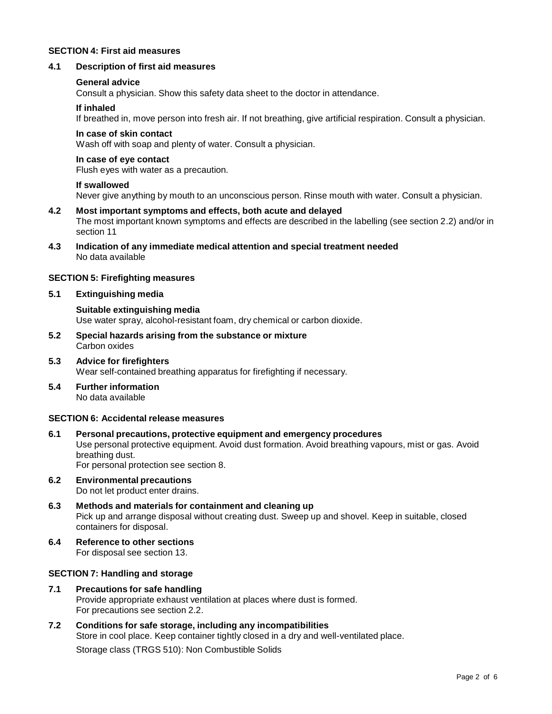# **SECTION 4: First aid measures**

# **4.1 Description of first aid measures**

## **General advice**

Consult a physician. Show this safety data sheet to the doctor in attendance.

## **If inhaled**

If breathed in, move person into fresh air. If not breathing, give artificial respiration. Consult a physician.

# **In case of skin contact**

Wash off with soap and plenty of water. Consult a physician.

# **In case of eye contact**

Flush eyes with water as a precaution.

## **If swallowed**

Never give anything by mouth to an unconscious person. Rinse mouth with water. Consult a physician.

- **4.2 Most important symptoms and effects, both acute and delayed** The most important known symptoms and effects are described in the labelling (see section 2.2) and/or in section 11
- **4.3 Indication of any immediate medical attention and special treatment needed** No data available

## **SECTION 5: Firefighting measures**

**5.1 Extinguishing media**

**Suitable extinguishing media** Use water spray, alcohol-resistant foam, dry chemical or carbon dioxide.

- **5.2 Special hazards arising from the substance or mixture** Carbon oxides
- **5.3 Advice for firefighters** Wear self-contained breathing apparatus for firefighting if necessary.
- **5.4 Further information** No data available

# **SECTION 6: Accidental release measures**

- **6.1 Personal precautions, protective equipment and emergency procedures** Use personal protective equipment. Avoid dust formation. Avoid breathing vapours, mist or gas. Avoid breathing dust. For personal protection see section 8.
- **6.2 Environmental precautions** Do not let product enter drains.
- **6.3 Methods and materials for containment and cleaning up** Pick up and arrange disposal without creating dust. Sweep up and shovel. Keep in suitable, closed containers for disposal.
- **6.4 Reference to other sections** For disposal see section 13.

# **SECTION 7: Handling and storage**

- **7.1 Precautions for safe handling** Provide appropriate exhaust ventilation at places where dust is formed. For precautions see section 2.2.
- **7.2 Conditions for safe storage, including any incompatibilities** Store in cool place. Keep container tightly closed in a dry and well-ventilated place. Storage class (TRGS 510): Non Combustible Solids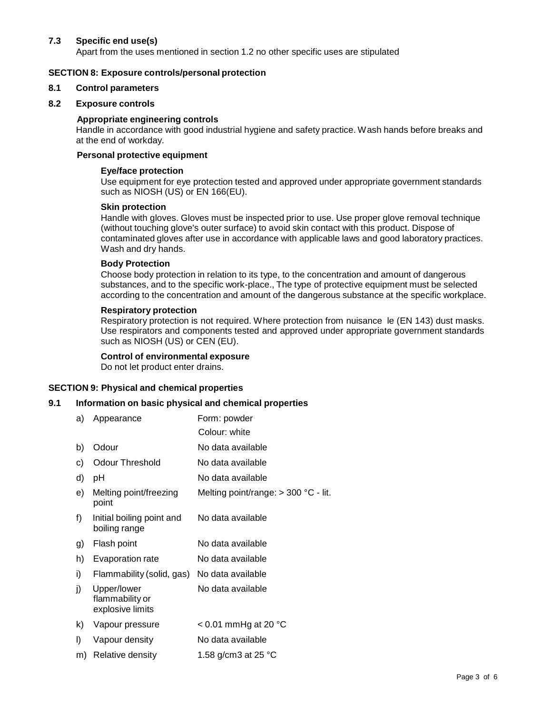# **7.3 Specific end use(s)**

Apart from the uses mentioned in section 1.2 no other specific uses are stipulated

## **SECTION 8: Exposure controls/personal protection**

#### **8.1 Control parameters**

#### **8.2 Exposure controls**

## **Appropriate engineering controls**

Handle in accordance with good industrial hygiene and safety practice. Wash hands before breaks and at the end of workday.

# **Personal protective equipment**

## **Eye/face protection**

Use equipment for eye protection tested and approved under appropriate government standards such as NIOSH (US) or EN 166(EU).

# **Skin protection**

Handle with gloves. Gloves must be inspected prior to use. Use proper glove removal technique (without touching glove's outer surface) to avoid skin contact with this product. Dispose of contaminated gloves after use in accordance with applicable laws and good laboratory practices. Wash and dry hands.

## **Body Protection**

Choose body protection in relation to its type, to the concentration and amount of dangerous substances, and to the specific work-place., The type of protective equipment must be selected according to the concentration and amount of the dangerous substance at the specific workplace.

## **Respiratory protection**

Respiratory protection is not required. Where protection from nuisance le (EN 143) dust masks. Use respirators and components tested and approved under appropriate government standards such as NIOSH (US) or CEN (EU).

## **Control of environmental exposure**

Do not let product enter drains.

#### **SECTION 9: Physical and chemical properties**

# **9.1 Information on basic physical and chemical properties**

| a) | Appearance                                         | Form: powder                           |
|----|----------------------------------------------------|----------------------------------------|
|    |                                                    | Colour: white                          |
| b) | Odour                                              | No data available                      |
| c) | <b>Odour Threshold</b>                             | No data available                      |
| d) | рH                                                 | No data available                      |
| e) | Melting point/freezing<br>point                    | Melting point/range: $>$ 300 °C - lit. |
| f) | Initial boiling point and<br>boiling range         | No data available                      |
| g) | Flash point                                        | No data available                      |
|    |                                                    |                                        |
| h) | Evaporation rate                                   | No data available                      |
| i) | Flammability (solid, gas)                          | No data available                      |
| j) | Upper/lower<br>flammability or<br>explosive limits | No data available                      |
| k) | Vapour pressure                                    | $< 0.01$ mmHg at 20 °C                 |
| I) | Vapour density                                     | No data available                      |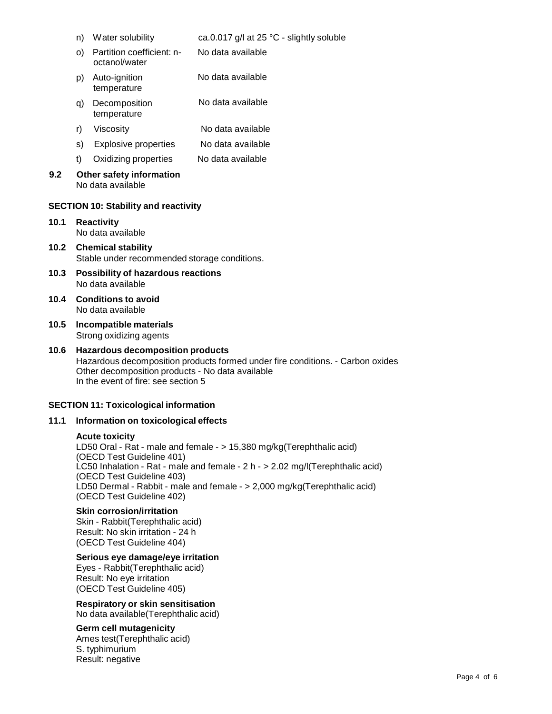|      |                                                                           | n) Water solubility                                                                          | ca.0.017 g/l at 25 °C - slightly soluble                                       |
|------|---------------------------------------------------------------------------|----------------------------------------------------------------------------------------------|--------------------------------------------------------------------------------|
|      | O)                                                                        | Partition coefficient: n-<br>octanol/water                                                   | No data available                                                              |
|      | p)                                                                        | Auto-ignition<br>temperature                                                                 | No data available                                                              |
|      | q)                                                                        | Decomposition<br>temperature                                                                 | No data available                                                              |
|      | r)                                                                        | Viscosity                                                                                    | No data available                                                              |
|      | s)                                                                        | <b>Explosive properties</b>                                                                  | No data available                                                              |
|      | t)                                                                        | Oxidizing properties                                                                         | No data available                                                              |
| 9.2  |                                                                           | Other safety information<br>No data available<br><b>SECTION 10: Stability and reactivity</b> |                                                                                |
| 10.1 |                                                                           | <b>Reactivity</b><br>No data available                                                       |                                                                                |
| 10.2 | <b>Chemical stability</b><br>Stable under recommended storage conditions. |                                                                                              |                                                                                |
| 10.3 | <b>Possibility of hazardous reactions</b><br>No data available            |                                                                                              |                                                                                |
| 10.4 |                                                                           | <b>Conditions to avoid</b><br>No data available                                              |                                                                                |
| 10.5 |                                                                           | Incompatible materials<br>Strong oxidizing agents                                            |                                                                                |
| 10.6 |                                                                           | <b>Hazardous decomposition products</b><br>Other decomposition products - No data available  | Hazardous decomposition products formed under fire conditions. - Carbon oxides |

# **SECTION 11: Toxicological information**

# **11.1 Information on toxicological effects**

In the event of fire: see section 5

#### **Acute toxicity**

LD50 Oral - Rat - male and female - > 15,380 mg/kg(Terephthalic acid) (OECD Test Guideline 401) LC50 Inhalation - Rat - male and female - 2 h - > 2.02 mg/l(Terephthalic acid) (OECD Test Guideline 403) LD50 Dermal - Rabbit - male and female - > 2,000 mg/kg(Terephthalic acid) (OECD Test Guideline 402)

# **Skin corrosion/irritation**

Skin - Rabbit(Terephthalic acid) Result: No skin irritation - 24 h (OECD Test Guideline 404)

# **Serious eye damage/eye irritation**

Eyes - Rabbit(Terephthalic acid) Result: No eye irritation (OECD Test Guideline 405)

**Respiratory or skin sensitisation** No data available(Terephthalic acid)

#### **Germ cell mutagenicity**

Ames test(Terephthalic acid) S. typhimurium Result: negative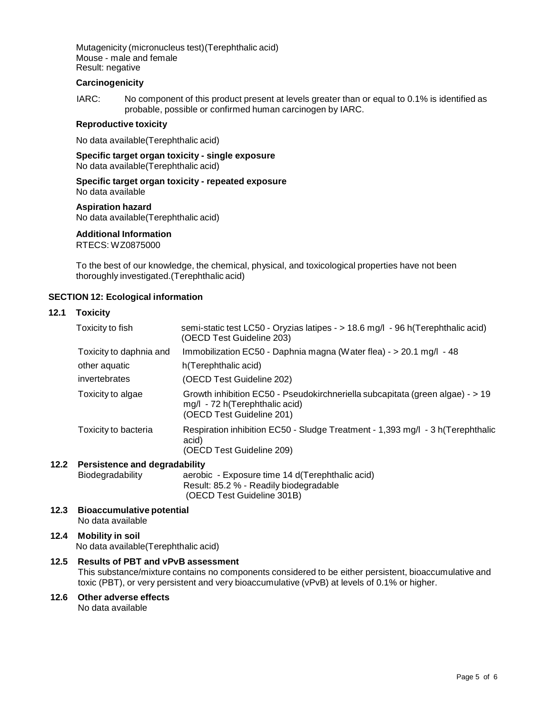Mutagenicity (micronucleus test)(Terephthalic acid) Mouse - male and female Result: negative

## **Carcinogenicity**

IARC: No component of this product present at levels greater than or equal to 0.1% is identified as probable, possible or confirmed human carcinogen by IARC.

#### **Reproductive toxicity**

No data available(Terephthalic acid)

**Specific target organ toxicity - single exposure** No data available(Terephthalic acid)

**Specific target organ toxicity - repeated exposure** No data available

# **Aspiration hazard**

No data available(Terephthalic acid)

# **Additional Information**

RTECS: WZ0875000

To the best of our knowledge, the chemical, physical, and toxicological properties have not been thoroughly investigated.(Terephthalic acid)

# **SECTION 12: Ecological information**

# **12.1 Toxicity**

| Toxicity to fish        | semi-static test LC50 - Oryzias latipes - > 18.6 mg/l - 96 h(Terephthalic acid)<br>(OECD Test Guideline 203)                                 |
|-------------------------|----------------------------------------------------------------------------------------------------------------------------------------------|
| Toxicity to daphnia and | Immobilization EC50 - Daphnia magna (Water flea) - > 20.1 mg/l - 48                                                                          |
| other aquatic           | h(Terephthalic acid)                                                                                                                         |
| invertebrates           | (OECD Test Guideline 202)                                                                                                                    |
| Toxicity to algae       | Growth inhibition EC50 - Pseudokirchneriella subcapitata (green algae) - > 19<br>mg/l - 72 h(Terephthalic acid)<br>(OECD Test Guideline 201) |
| Toxicity to bacteria    | Respiration inhibition EC50 - Sludge Treatment - 1,393 mg/l - 3 h(Terephthalic<br>acid)<br>(OECD Test Guideline 209)                         |

# **12.2 Persistence and degradability**

| Biodegradability | aerobic - Exposure time 14 d(Terephthalic acid) |
|------------------|-------------------------------------------------|
|                  | Result: 85.2 % - Readily biodegradable          |
|                  | (OECD Test Guideline 301B)                      |

**12.3 Bioaccumulative potential** No data available

# **12.4 Mobility in soil**

No data available(Terephthalic acid)

# **12.5 Results of PBT and vPvB assessment**

This substance/mixture contains no components considered to be either persistent, bioaccumulative and toxic (PBT), or very persistent and very bioaccumulative (vPvB) at levels of 0.1% or higher.

# **12.6 Other adverse effects**

No data available